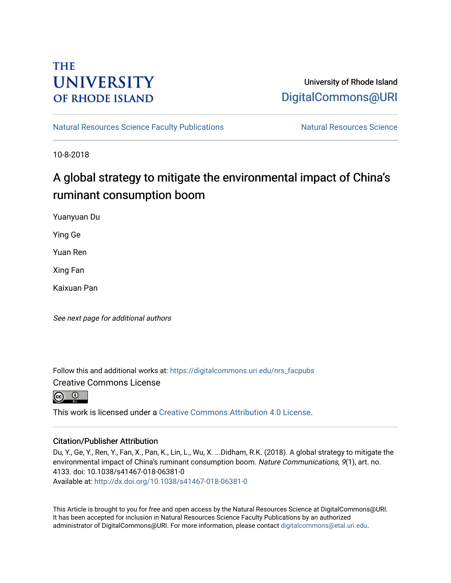# **THE UNIVERSITY OF RHODE ISLAND**

# University of Rhode Island [DigitalCommons@URI](https://digitalcommons.uri.edu/)

[Natural Resources Science Faculty Publications](https://digitalcommons.uri.edu/nrs_facpubs) Natural Resources Science

10-8-2018

# A global strategy to mitigate the environmental impact of China's ruminant consumption boom

Yuanyuan Du

Ying Ge

Yuan Ren

Xing Fan

Kaixuan Pan

See next page for additional authors

Follow this and additional works at: [https://digitalcommons.uri.edu/nrs\\_facpubs](https://digitalcommons.uri.edu/nrs_facpubs?utm_source=digitalcommons.uri.edu%2Fnrs_facpubs%2F81&utm_medium=PDF&utm_campaign=PDFCoverPages)  Creative Commons License

This work is licensed under a [Creative Commons Attribution 4.0 License](https://creativecommons.org/licenses/by/4.0/).

## Citation/Publisher Attribution

Du, Y., Ge, Y., Ren, Y., Fan, X., Pan, K., Lin, L., Wu, X. ...Didham, R.K. (2018). A global strategy to mitigate the environmental impact of China's ruminant consumption boom. Nature Communications, 9(1), art. no. 4133. doi: 10.1038/s41467-018-06381-0

Available at:<http://dx.doi.org/10.1038/s41467-018-06381-0>

This Article is brought to you for free and open access by the Natural Resources Science at DigitalCommons@URI. It has been accepted for inclusion in Natural Resources Science Faculty Publications by an authorized administrator of DigitalCommons@URI. For more information, please contact [digitalcommons@etal.uri.edu.](mailto:digitalcommons@etal.uri.edu)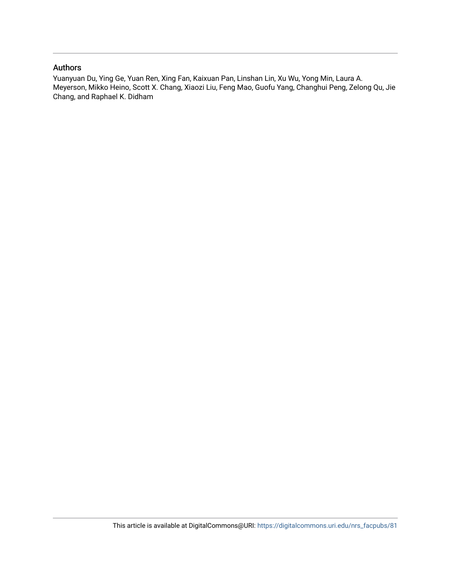### Authors

Yuanyuan Du, Ying Ge, Yuan Ren, Xing Fan, Kaixuan Pan, Linshan Lin, Xu Wu, Yong Min, Laura A. Meyerson, Mikko Heino, Scott X. Chang, Xiaozi Liu, Feng Mao, Guofu Yang, Changhui Peng, Zelong Qu, Jie Chang, and Raphael K. Didham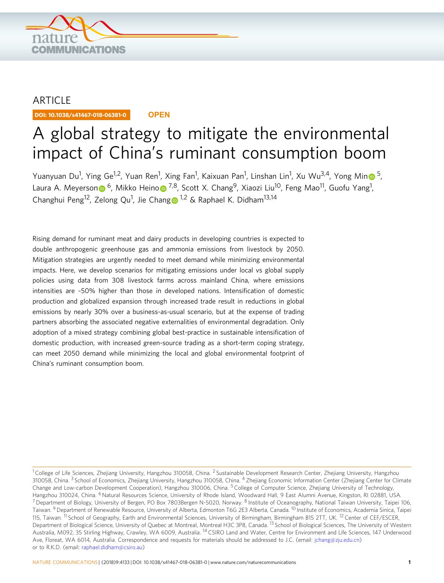

## ARTICLE

DOI: 10.1038/s41467-018-06381-0 **OPEN**

# A global strategy to mitigate the environmental impact of China's ruminant consumption boom

Yua[n](http://orcid.org/0000-0002-9387-3921)yuan Du<sup>1</sup>, Ying Ge<sup>1,2</sup>, Yuan Ren<sup>1</sup>, Xing Fan<sup>1</sup>, Kaixuan Pan<sup>1</sup>, Linshan Lin<sup>1</sup>, Xu Wu<sup>3,4</sup>, Yong Min 6,[5](http://orcid.org/0000-0002-9387-3921), Laura A. Meyerso[n](http://orcid.org/0000-0002-1283-3865)⋒ <sup>[6](http://orcid.org/0000-0002-1283-3865)</sup>, Mikk[o](http://orcid.org/0000-0003-2928-3940) Heino⋒ <sup>7,8</sup>, Scott X. Chang<sup>9</sup>, Xiaozi Liu<sup>10</sup>, Feng Mao<sup>11</sup>, Guofu Yang<sup>1</sup>, Chan[g](http://orcid.org/0000-0002-3601-5402)hui Peng<sup>[1](http://orcid.org/0000-0002-3601-5402)2</sup>, Zelong Qu<sup>1</sup>, Jie Chang 1,2 & Raphael K. Didham<sup>13,14</sup>

Rising demand for ruminant meat and dairy products in developing countries is expected to double anthropogenic greenhouse gas and ammonia emissions from livestock by 2050. Mitigation strategies are urgently needed to meet demand while minimizing environmental impacts. Here, we develop scenarios for mitigating emissions under local vs global supply policies using data from 308 livestock farms across mainland China, where emissions intensities are ~50% higher than those in developed nations. Intensification of domestic production and globalized expansion through increased trade result in reductions in global emissions by nearly 30% over a business-as-usual scenario, but at the expense of trading partners absorbing the associated negative externalities of environmental degradation. Only adoption of a mixed strategy combining global best-practice in sustainable intensification of domestic production, with increased green-source trading as a short-term coping strategy, can meet 2050 demand while minimizing the local and global environmental footprint of China's ruminant consumption boom.

 $1$  College of Life Sciences, Zhejiang University, Hangzhou 310058, China. <sup>2</sup> Sustainable Development Research Center, Zhejiang University, Hangzhou 310058, China. <sup>3</sup> School of Economics, Zhejiang University, Hangzhou 310058, China. <sup>4</sup> Zhejiang Economic Information Center (Zhejiang Center for Climate Change and Low-carbon Development Cooperation), Hangzhou 310006, China. <sup>5</sup> College of Computer Science, Zhejiang University of Technology, Hangzhou 310024, China. <sup>6</sup>Natural Resources Science, University of Rhode Island, Woodward Hall, 9 East Alumni Avenue, Kingston, RI 02881, USA. <sup>7</sup> Department of Biology, University of Bergen, PO Box 7803Bergen N-5020, Norway. <sup>8</sup> Institute of Oceanography, National Taiwan University, Taipei 106, Taiwan. <sup>9</sup> Department of Renewable Resource, University of Alberta, Edmonton T6G 2E3 Alberta, Canada. <sup>10</sup> Institute of Economics, Academia Sinica, Taipei 115, Taiwan. <sup>11</sup> School of Geography, Earth and Environmental Sciences, University of Birmingham, Birmingham B15 2TT, UK. <sup>12</sup> Center of CEF/ESCER, Department of Biological Science, University of Quebec at Montreal, Montreal H3C 3P8, Canada. <sup>13</sup> School of Biological Sciences, The University of Western Australia, M092, 35 Stirling Highway, Crawley, WA 6009, Australia. <sup>14</sup> CSIRO Land and Water, Centre for Environment and Life Sciences, 147 Underwood Ave, Floreat, WA 6014, Australia. Correspondence and requests for materials should be addressed to J.C. (email: [jchang@zju.edu.cn](mailto:jchang@zju.edu.cn)) or to R.K.D. (email: [raphael.didham@csiro.au](mailto:raphael.didham@csiro.au))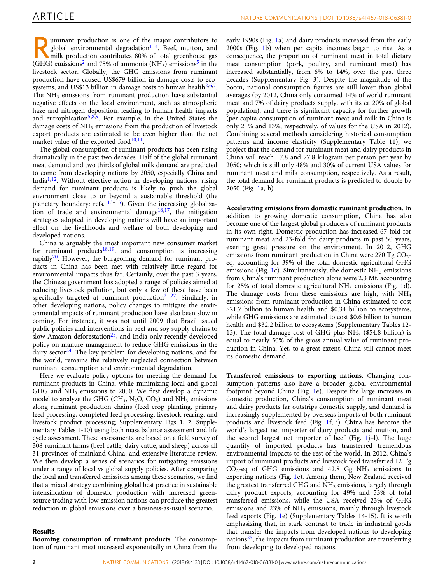uminant production is one of the major contributors to<br>global environmental degradation<sup>1-4</sup>. Beef, mutton, and<br> $(CHC)$  emissions<sup>2</sup> and 75% of composition<sup>5</sup> (NH) emissions<sup>5</sup> in the global environmental degradation<sup>[1](#page-11-0)-4</sup>. Beef, mutton, and milk production contributes 80% of total greenhouse gas (GHG) emissions<sup>[2](#page-11-0)</sup> and 7[5](#page-11-0)% of ammonia (NH<sub>3</sub>) emissions<sup>5</sup> in the livestock sector. Globally, the GHG emissions from ruminant production have caused US\$679 billion in damage costs to ecosystems, and US\$13 billion in damage costs to human health $2,6,7$  $2,6,7$ . The  $NH<sub>3</sub>$  emissions from ruminant production have substantial negative effects on the local environment, such as atmospheric haze and nitrogen deposition, leading to human health impacts and eutrophication<sup>[5,8,9](#page-11-0)</sup>. For example, in the United States the damage costs of NH<sub>3</sub> emissions from the production of livestock export products are estimated to be even higher than the net market value of the exported food $10,11$ .

The global consumption of ruminant products has been rising dramatically in the past two decades. Half of the global ruminant meat demand and two thirds of global milk demand are predicted to come from developing nations by 2050, especially China and India<sup>1,12</sup>. Without effective action in developing nations, rising demand for ruminant products is likely to push the global environment close to or beyond a sustainable threshold (the planetary boundary: refs. <sup>[13](#page-11-0)–[15](#page-11-0)</sup>). Given the increasing globalization of trade and environmental damage<sup>16,17</sup>, the mitigation strategies adopted in developing nations will have an important effect on the livelihoods and welfare of both developing and developed nations.

China is arguably the most important new consumer market for ruminant products $18,19$ , and consumption is increasing rapidly<sup>[20](#page-11-0)</sup>. However, the burgeoning demand for ruminant products in China has been met with relatively little regard for environmental impacts thus far. Certainly, over the past 3 years, the Chinese government has adopted a range of policies aimed at reducing livestock pollution, but only a few of these have been specifically targeted at ruminant production<sup>[21](#page-11-0),[22](#page-11-0)</sup>. Similarly, in other developing nations, policy changes to mitigate the environmental impacts of ruminant production have also been slow in coming. For instance, it was not until 2009 that Brazil issued public policies and interventions in beef and soy supply chains to slow Amazon deforestation<sup>23</sup>, and India only recently developed policy on manure management to reduce GHG emissions in the dairy sector<sup>24</sup>. The key problem for developing nations, and for the world, remains the relatively neglected connection between ruminant consumption and environmental degradation.

Here we evaluate policy options for meeting the demand for ruminant products in China, while minimizing local and global GHG and  $NH<sub>3</sub>$  emissions to 2050. We first develop a dynamic model to analyze the GHG (CH<sub>4</sub>, N<sub>2</sub>O, CO<sub>2</sub>) and NH<sub>3</sub> emissions along ruminant production chains (feed crop planting, primary feed processing, completed feed processing, livestock rearing, and livestock product processing; Supplementary Figs 1, 2; Supplementary Tables 1-10) using both mass balance assessment and life cycle assessment. These assessments are based on a field survey of 308 ruminant farms (beef cattle, dairy cattle, and sheep) across all 31 provinces of mainland China, and extensive literature review. We then develop a series of scenarios for mitigating emissions under a range of local vs global supply policies. After comparing the local and transferred emissions among these scenarios, we find that a mixed strategy combining global best practice in sustainable intensification of domestic production with increased greensource trading with low emission nations can produce the greatest reduction in global emissions over a business-as-usual scenario.

#### Results

Booming consumption of ruminant products. The consumption of ruminant meat increased exponentially in China from the early 1990s (Fig. [1a](#page-4-0)) and dairy products increased from the early 2000s (Fig. [1](#page-4-0)b) when per capita incomes began to rise. As a consequence, the proportion of ruminant meat in total dietary meat consumption (pork, poultry, and ruminant meat) has increased substantially, from 6% to 14%, over the past three decades (Supplementary Fig. 3). Despite the magnitude of the boom, national consumption figures are still lower than global averages (by 2012, China only consumed 14% of world ruminant meat and 7% of dairy products supply, with its ca 20% of global population), and there is significant capacity for further growth (per capita consumption of ruminant meat and milk in China is only 21% and 13%, respectively, of values for the USA in 2012). Combining several methods considering historical consumption patterns and income elasticity (Supplementary Table 11), we project that the demand for ruminant meat and dairy products in China will reach 17.8 and 77.8 kilogram per person per year by 2050; which is still only 48% and 30% of current USA values for ruminant meat and milk consumption, respectively. As a result, the total demand for ruminant products is predicted to double by 2050 (Fig. [1a](#page-4-0), b).

Accelerating emissions from domestic ruminant production. In addition to growing domestic consumption, China has also become one of the largest global producers of ruminant products in its own right. Domestic production has increased 67-fold for ruminant meat and 23-fold for dairy products in past 50 years, exerting great pressure on the environment. In 2012, GHG emissions from ruminant production in China were  $270 \text{ Tg CO}_2$ eq, accounting for 39% of the total domestic agricultural GHG emissions (Fig. [1c](#page-4-0)). Simultaneously, the domestic  $NH<sub>3</sub>$  emissions from China's ruminant production alone were 2.3 Mt, accounting for 25% of total domestic agricultural  $NH<sub>3</sub>$  emissions (Fig. [1](#page-4-0)d). The damage costs from these emissions are high, with  $NH<sub>3</sub>$ emissions from ruminant production in China estimated to cost \$21.7 billion to human health and \$0.34 billion to ecosystems, while GHG emissions are estimated to cost \$0.6 billion to human health and \$32.2 billion to ecosystems (Supplementary Tables 12- 13). The total damage cost of GHG plus  $NH<sub>3</sub>$  (\$54.8 billion) is equal to nearly 50% of the gross annual value of ruminant production in China. Yet, to a great extent, China still cannot meet its domestic demand.

Transferred emissions to exporting nations. Changing consumption patterns also have a broader global environmental footprint beyond China (Fig. [1](#page-4-0)e). Despite the large increases in domestic production, China's consumption of ruminant meat and dairy products far outstrips domestic supply, and demand is increasingly supplemented by overseas imports of both ruminant products and livestock feed (Fig. [1f](#page-4-0), i). China has become the world's largest net importer of dairy products and mutton, and the second largest net importer of beef (Fig. [1](#page-4-0)j–l). The huge quantity of imported products has transferred tremendous environmental impacts to the rest of the world. In 2012, China's import of ruminant products and livestock feed transferred 12 Tg  $CO<sub>2</sub>$ -eq of GHG emissions and 42.8 Gg NH<sub>3</sub> emissions to exporting nations (Fig. [1e](#page-4-0)). Among them, New Zealand received the greatest transferred GHG and  $NH<sub>3</sub>$  emissions, largely through dairy product exports, accounting for 49% and 53% of total transferred emissions, while the USA received 23% of GHG emissions and 23% of NH<sub>3</sub> emissions, mainly through livestock feed exports (Fig. [1e](#page-4-0)) (Supplementary Tables 14-15). It is worth emphasizing that, in stark contrast to trade in industrial goods that transfer the impacts from developed nations to developing nations $25$ , the impacts from ruminant production are transferring from developing to developed nations.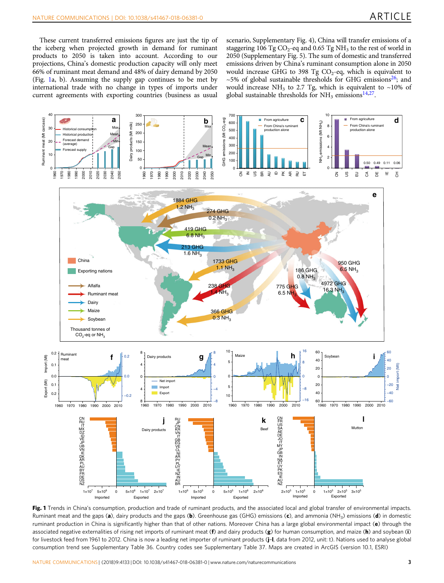<span id="page-4-0"></span>These current transferred emissions figures are just the tip of the iceberg when projected growth in demand for ruminant products to 2050 is taken into account. According to our projections, China's domestic production capacity will only meet 66% of ruminant meat demand and 48% of dairy demand by 2050 (Fig. 1a, b). Assuming the supply gap continues to be met by international trade with no change in types of imports under current agreements with exporting countries (business as usual

scenario, Supplementary Fig. 4), China will transfer emissions of a staggering 106 Tg  $CO_2$ -eq and 0.65 Tg NH<sub>3</sub> to the rest of world in 2050 (Supplementary Fig. 5). The sum of domestic and transferred emissions driven by China's ruminant consumption alone in 2050 would increase GHG to 398 Tg  $CO<sub>2</sub>$ -eq, which is equivalent to  $\sim$ 5% of global sustainable thresholds for GHG emissions<sup>26</sup>; and would increase NH<sub>3</sub> to 2.7 Tg, which is equivalent to ~10% of global sustainable thresholds for  $NH<sub>3</sub>$  emissions<sup>14,[27](#page-11-0)</sup>.



Fig. 1 Trends in China's consumption, production and trade of ruminant products, and the associated local and global transfer of environmental impacts. Ruminant meat and the gaps (a), dairy products and the gaps (b). Greenhouse gas (GHG) emissions (c), and ammonia (NH<sub>3</sub>) emissions (d) in domestic ruminant production in China is significantly higher than that of other nations. Moreover China has a large global environmental impact (e) through the associated negative externalities of rising net imports of ruminant meat (f) and dairy products (g) for human consumption, and maize (h) and soybean (i) for livestock feed from 1961 to 2012. China is now a leading net importer of ruminant products (j–l, data from 2012, unit: t). Nations used to analyse global consumption trend see Supplementary Table 36. Country codes see Supplementary Table 37. Maps are created in ArcGIS (version 10.1, ESRI)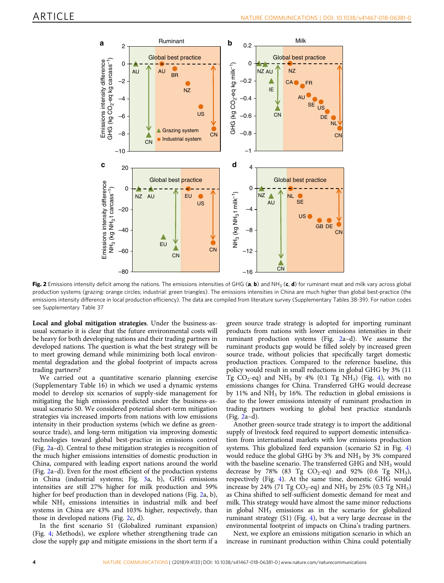<span id="page-5-0"></span>

Fig. 2 Emissions intensity deficit among the nations. The emissions intensities of GHG (a, b) and NH<sub>3</sub> (c, d) for ruminant meat and milk vary across global production systems (grazing: orange circles; industrial: green triangles). The emissions intensities in China are much higher than global best-practice (the emissions intensity difference in local production efficiency). The data are compiled from literature survey (Supplementary Tables 38-39). For nation codes see Supplementary Table 37

Local and global mitigation strategies. Under the business-asusual scenario it is clear that the future environmental costs will be heavy for both developing nations and their trading partners in developed nations. The question is what the best strategy will be to meet growing demand while minimizing both local environmental degradation and the global footprint of impacts across trading partners?

We carried out a quantitative scenario planning exercise (Supplementary Table 16) in which we used a dynamic systems model to develop six scenarios of supply-side management for mitigating the high emissions predicted under the business-asusual scenario S0. We considered potential short-term mitigation strategies via increased imports from nations with low emissions intensity in their production systems (which we define as greensource trade), and long-term mitigation via improving domestic technologies toward global best-practice in emissions control (Fig. 2a–d). Central to these mitigation strategies is recognition of the much higher emissions intensities of domestic production in China, compared with leading export nations around the world (Fig. 2a–d). Even for the most efficient of the production systems in China (industrial systems; Fig. [3](#page-6-0)a, b), GHG emissions intensities are still 27% higher for milk production and 59% higher for beef production than in developed nations (Fig. 2a, b), while  $NH<sub>3</sub>$  emissions intensities in industrial milk and beef systems in China are 43% and 103% higher, respectively, than those in developed nations (Fig. 2c, d).

In the first scenario S1 (Globalized ruminant expansion) (Fig. [4](#page-7-0); Methods), we explore whether strengthening trade can close the supply gap and mitigate emissions in the short term if a green source trade strategy is adopted for importing ruminant products from nations with lower emissions intensities in their ruminant production systems (Fig. 2a–d). We assume the ruminant products gap would be filled solely by increased green source trade, without policies that specifically target domestic production practices. Compared to the reference baseline, this policy would result in small reductions in global GHG by 3% (11 Tg CO<sub>2</sub>-eq) and NH<sub>3</sub> by 4% (0.1 Tg NH<sub>3</sub>) (Fig. [4\)](#page-7-0), with no emissions changes for China. Transferred GHG would decrease by  $11\%$  and NH<sub>3</sub> by 16%. The reduction in global emissions is due to the lower emissions intensity of ruminant production in trading partners working to global best practice standards (Fig. 2a–d).

Another green-source trade strategy is to import the additional supply of livestock feed required to support domestic intensification from international markets with low emissions production systems. This globalized feed expansion (scenario S2 in Fig. [4](#page-7-0)) would reduce the global GHG by  $3\%$  and NH<sub>3</sub> by  $3\%$  compared with the baseline scenario. The transferred GHG and  $NH<sub>3</sub>$  would decrease by 78% (83 Tg  $CO_2$ -eq) and 92% (0.6 Tg NH<sub>3</sub>), respectively (Fig. [4\)](#page-7-0). At the same time, domestic GHG would increase by 24% (71 Tg  $CO_2$ -eq) and NH<sub>3</sub> by 25% (0.5 Tg NH<sub>3</sub>) as China shifted to self-sufficient domestic demand for meat and milk. This strategy would have almost the same minor reductions in global  $NH<sub>3</sub>$  emissions as in the scenario for globalized ruminant strategy (S1) (Fig. [4\)](#page-7-0), but a very large decrease in the environmental footprint of impacts on China's trading partners.

Next, we explore an emissions mitigation scenario in which an increase in ruminant production within China could potentially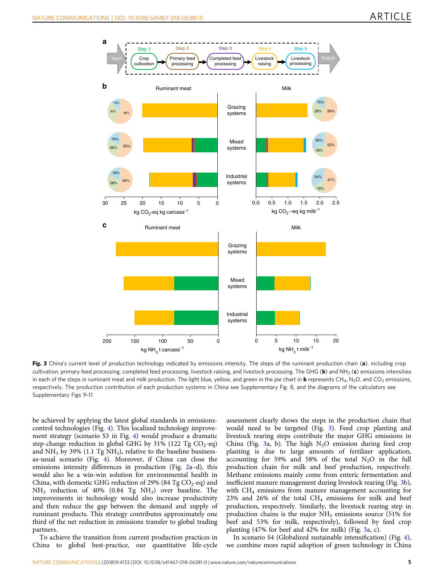<span id="page-6-0"></span>

Fig. 3 China's current level of production technology indicated by emissions intensity. The steps of the ruminant production chain (a), including crop cultivation, primary feed processing, completed feed processing, livestock raising, and livestock processing. The GHG (b) and NH<sub>3</sub> (c) emissions intensities in each of the steps in ruminant meat and milk production. The light blue, yellow, and green in the pie chart in **b** represents CH<sub>4</sub>, N<sub>2</sub>O, and CO<sub>2</sub> emissions, respectively. The production contribution of each production systems in China see Supplementary Fig. 8, and the diagrams of the calculators see Supplementary Figs 9-11

be achieved by applying the latest global standards in emissionscontrol technologies (Fig. [4](#page-7-0)). This localized technology improvement strategy (scenario S3 in Fig. [4\)](#page-7-0) would produce a dramatic step-change reduction in global GHG by 31% (122 Tg  $CO_2$ -eq) and  $NH<sub>3</sub>$  by 39% (1.1 Tg  $NH<sub>3</sub>$ ), relative to the baseline businessas-usual scenario (Fig. [4](#page-7-0)). Moreover, if China can close the emissions intensity differences in production (Fig. [2a](#page-5-0)–d), this would also be a win-win solution for environmental health in China, with domestic GHG reduction of 29% (84 Tg  $CO_2$ -eq) and  $NH<sub>3</sub>$  reduction of 40% (0.84 Tg  $NH<sub>3</sub>$ ) over baseline. The improvements in technology would also increase productivity and then reduce the gap between the demand and supply of ruminant products. This strategy contributes approximately one third of the net reduction in emissions transfer to global trading partners.

To achieve the transition from current production practices in China to global best-practice, our quantitative life-cycle

assessment clearly shows the steps in the production chain that would need to be targeted (Fig. 3). Feed crop planting and livestock rearing steps contribute the major GHG emissions in China (Fig. 3a, b). The high  $N_2O$  emission during feed crop planting is due to large amounts of fertilizer application, accounting for 59% and 58% of the total  $N_2O$  in the full production chain for milk and beef production, respectively. Methane emissions mainly come from enteric fermentation and inefficient manure management during livestock rearing (Fig. 3b), with  $CH<sub>4</sub>$  emissions from manure management accounting for 23% and 26% of the total  $CH_4$  emissions for milk and beef production, respectively. Similarly, the livestock rearing step in production chains is the major  $NH<sub>3</sub>$  emissions source (51% for beef and 53% for milk, respectively), followed by feed crop planting (47% for beef and 42% for milk) (Fig. 3a, c).

In scenario S4 (Globalized sustainable intensification) (Fig. [4](#page-7-0)), we combine more rapid adoption of green technology in China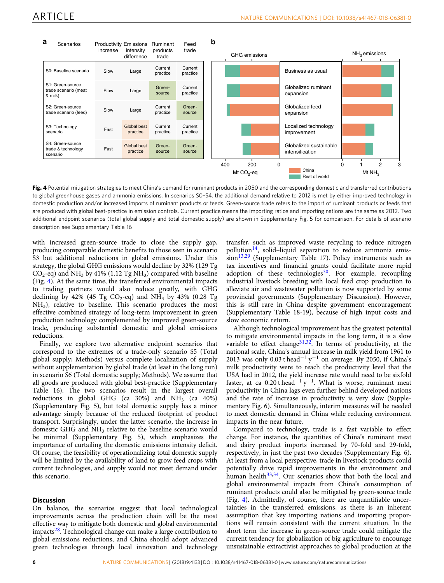<span id="page-7-0"></span>

Fig. 4 Potential mitigation strategies to meet China's demand for ruminant products in 2050 and the corresponding domestic and transferred contributions to global greenhouse gases and ammonia emissions. In scenarios S0–S4, the additional demand relative to 2012 is met by either improved technology in domestic production and/or increased imports of ruminant products or feeds. Green-source trade refers to the import of ruminant products or feeds that are produced with global best-practice in emission controls. Current practice means the importing ratios and importing nations are the same as 2012. Two additional endpoint scenarios (total global supply and total domestic supply) are shown in Supplementary Fig. 5 for comparison. For details of scenario description see Supplementary Table 16

with increased green-source trade to close the supply gap, producing comparable domestic benefits to those seen in scenario S3 but additional reductions in global emissions. Under this strategy, the global GHG emissions would decline by 32% (129 Tg  $CO_2$ -eq) and NH<sub>3</sub> by 41% (1.12 Tg NH<sub>3</sub>) compared with baseline (Fig. 4). At the same time, the transferred environmental impacts to trading partners would also reduce greatly, with GHG declining by 42% (45 Tg  $CO_2$ -eq) and NH<sub>3</sub> by 43% (0.28 Tg NH3), relative to baseline. This scenario produces the most effective combined strategy of long-term improvement in green production technology complemented by improved green-source trade, producing substantial domestic and global emissions reductions.

Finally, we explore two alternative endpoint scenarios that correspond to the extremes of a trade-only scenario S5 (Total global supply; Methods) versus complete localization of supply without supplementation by global trade (at least in the long run) in scenario S6 (Total domestic supply; Methods). We assume that all goods are produced with global best-practice (Supplementary Table 16). The two scenarios result in the largest overall reductions in global GHG (ca  $30\%$ ) and NH<sub>3</sub> (ca  $40\%$ ) (Supplementary Fig. 5), but total domestic supply has a minor advantage simply because of the reduced footprint of product transport. Surprisingly, under the latter scenario, the increase in domestic GHG and  $NH<sub>3</sub>$  relative to the baseline scenario would be minimal (Supplementary Fig. 5), which emphasizes the importance of curtailing the domestic emissions intensity deficit. Of course, the feasibility of operationalizing total domestic supply will be limited by the availability of land to grow feed crops with current technologies, and supply would not meet demand under this scenario.

#### **Discussion**

On balance, the scenarios suggest that local technological improvements across the production chain will be the most effective way to mitigate both domestic and global environmental impacts[28](#page-11-0). Technological change can make a large contribution to global emissions reductions, and China should adopt advanced green technologies through local innovation and technology

transfer, such as improved waste recycling to reduce nitrogen pollution $^{14}$  $^{14}$  $^{14}$ , solid–liquid separation to reduce ammonia emis- $sion<sup>13,29</sup>$  $sion<sup>13,29</sup>$  $sion<sup>13,29</sup>$  (Supplementary Table 17). Policy instruments such as tax incentives and financial grants could facilitate more rapid adoption of these technologies<sup>30</sup>. For example, recoupling industrial livestock breeding with local feed crop production to alleviate air and wastewater pollution is now supported by some provincial governments (Supplementary Discussion). However, this is still rare in China despite government encouragement (Supplementary Table 18-19), because of high input costs and slow economic return.

Although technological improvement has the greatest potential to mitigate environmental impacts in the long term, it is a slow variable to effect change $31,32$  $31,32$ . In terms of productivity, at the national scale, China's annual increase in milk yield from 1961 to 2013 was only 0.03 t head<sup>-1</sup> y<sup>-1</sup> on average. By 2050, if China's milk productivity were to reach the productivity level that the USA had in 2012, the yield increase rate would need to be sixfold faster, at ca 0.20 t head<sup>-1</sup> y<sup>-1</sup>. What is worse, ruminant meat productivity in China lags even further behind developed nations and the rate of increase in productivity is very slow (Supplementary Fig. 6). Simultaneously, interim measures will be needed to meet domestic demand in China while reducing environment impacts in the near future.

Compared to technology, trade is a fast variable to effect change. For instance, the quantities of China's ruminant meat and dairy product imports increased by 70-fold and 29-fold, respectively, in just the past two decades (Supplementary Fig. 6). At least from a local perspective, trade in livestock products could potentially drive rapid improvements in the environment and human health<sup>33,34</sup>. Our scenarios show that both the local and global environmental impacts from China's consumption of ruminant products could also be mitigated by green-source trade (Fig. 4). Admittedly, of course, there are unquantifiable uncertainties in the transferred emissions, as there is an inherent assumption that key importing nations and importing proportions will remain consistent with the current situation. In the short term the increase in green-source trade could mitigate the current tendency for globalization of big agriculture to encourage unsustainable extractivist approaches to global production at the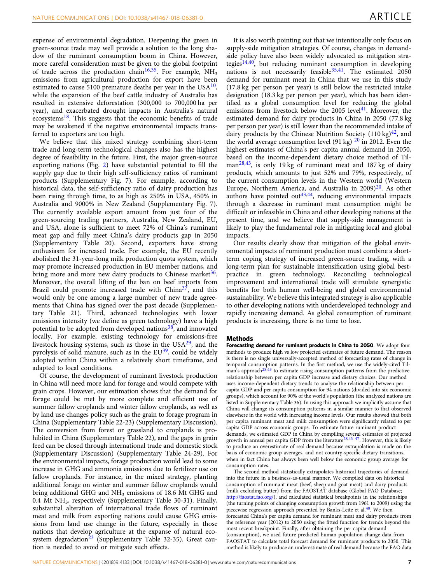expense of environmental degradation. Deepening the green in green-source trade may well provide a solution to the long shadow of the ruminant consumption boom in China. However, more careful consideration must be given to the global footprint of trade across the production chain<sup>[16](#page-11-0),35</sup>. For example,  $NH<sub>3</sub>$ emissions from agricultural production for export have been estimated to cause 5100 premature deaths per year in the  $USA^{10}$ , while the expansion of the beef cattle industry of Australia has resulted in extensive deforestation (300,000 to 700,000 ha per year), and exacerbated drought impacts in Australia's natural ecosystems $18$ . This suggests that the economic benefits of trade may be weakened if the negative environmental impacts transferred to exporters are too high.

We believe that this mixed strategy combining short-term trade and long-term technological changes also has the highest degree of feasibility in the future. First, the major green-source exporting nations (Fig. [2](#page-5-0)) have substantial potential to fill the supply gap due to their high self-sufficiency ratios of ruminant products (Supplementary Fig. 7). For example, according to historical data, the self-sufficiency ratio of dairy production has been rising through time, to as high as 250% in USA, 450% in Australia and 9000% in New Zealand (Supplementary Fig. 7). The currently available export amount from just four of the green-sourcing trading partners, Australia, New Zealand, EU, and USA, alone is sufficient to meet 72% of China's ruminant meat gap and fully meet China's dairy products gap in 2050 (Supplementary Table 20). Second, exporters have strong enthusiasm for increased trade. For example, the EU recently abolished the 31-year-long milk production quota system, which may promote increased production in EU member nations, and bring more and more new dairy products to Chinese market $36$ . Moreover, the overall lifting of the ban on beef imports from Brazil could promote increased trade with  $China<sup>37</sup>$ , and this would only be one among a large number of new trade agreements that China has signed over the past decade (Supplementary Table 21). Third, advanced technologies with lower emissions intensity (we define as green technology) have a high potential to be adopted from developed nations<sup>[38](#page-12-0)</sup>, and innovated locally. For example, existing technology for emissions-free livestock housing systems, such as those in the  $USA^{29}$  $USA^{29}$  $USA^{29}$ , and the pyrolysis of solid manure, such as in the  $EU^{39}$  $EU^{39}$  $EU^{39}$ , could be widely adopted within China within a relatively short timeframe, and adapted to local conditions.

Of course, the development of ruminant livestock production in China will need more land for forage and would compete with grain crops. However, our estimation shows that the demand for forage could be met by more complete and efficient use of summer fallow croplands and winter fallow croplands, as well as by land use changes policy such as the grain to forage program in China (Supplementary Table 22-23) (Supplementary Discussion). The conversion from forest or grassland to croplands is prohibited in China (Supplementary Table 22), and the gaps in grain feed can be closed through international trade and domestic stock (Supplementary Discussion) (Supplementary Table 24-29). For the environmental impacts, forage production would lead to some increase in GHG and ammonia emissions due to fertilizer use on fallow croplands. For instance, in the mixed strategy, planting additional forage on winter and summer fallow croplands would bring additional GHG and NH<sub>3</sub> emissions of 18.6 Mt GHG and 0.4 Mt NH<sub>3</sub>, respectively (Supplementary Table 30-31). Finally, substantial alteration of international trade flows of ruminant meat and milk from exporting nations could cause GHG emissions from land use change in the future, especially in those nations that develop agriculture at the expanse of natural ecosystem degradation $23$  (Supplementary Table 32-35). Great caution is needed to avoid or mitigate such effects.

It is also worth pointing out that we intentionally only focus on supply-side mitigation strategies. Of course, changes in demandside policy have also been widely advocated as mitigation stra-tegies<sup>[14,](#page-11-0)40</sup>, but reducing ruminant consumption in developing nations is not necessarily feasible  $35,41$ . The estimated  $2050$ demand for ruminant meat in China that we use in this study (17.8 kg per person per year) is still below the restricted intake designation (18.3 kg per person per year), which has been identified as a global consumption level for reducing the global emissions from livestock below the  $2005$  level<sup>[41](#page-12-0)</sup>. Moreover, the estimated demand for dairy products in China in 2050 (77.8 kg per person per year) is still lower than the recommended intake of dairy products by the Chinese Nutrition Society  $(110 \text{ kg})^{42}$  $(110 \text{ kg})^{42}$  $(110 \text{ kg})^{42}$ , and the world average consumption level (91 kg)  $^{20}$  $^{20}$  $^{20}$  in 2012. Even the highest estimates of China's per capita annual demand in 2050, based on the income-dependent dietary choice method of Til-man<sup>[28](#page-11-0),43</sup>, is only 19 kg of ruminant meat and 187 kg of dairy products, which amounts to just 52% and 79%, respectively, of the current consumption levels in the Western world (Western Europe, Northern America, and Australia in  $2009)^{20}$ . As other authors have pointed out $43,44$ , reducing environmental impacts through a decrease in ruminant meat consumption might be difficult or infeasible in China and other developing nations at the present time, and we believe that supply-side management is likely to play the fundamental role in mitigating local and global impacts.

Our results clearly show that mitigation of the global environmental impacts of ruminant production must combine a shortterm coping strategy of increased green-source trading, with a long-term plan for sustainable intensification using global bestpractice in green technology. Reconciling technological improvement and international trade will stimulate synergistic benefits for both human well-being and global environmental sustainability. We believe this integrated strategy is also applicable to other developing nations with underdeveloped technology and rapidly increasing demand. As global consumption of ruminant products is increasing, there is no time to lose.

#### Methods

Forecasting demand for ruminant products in China to 2050. We adopt four methods to produce high vs low projected estimates of future demand. The reason is there is no single universally-accepted method of forecasting rates of change in temporal consumption patterns. In the first method, we use the widely-cited Til-man's approach<sup>[28](#page-11-0),[43](#page-12-0)</sup> to estimate rising consumption patterns from the predictive relationship between per capita GDP increase and dietary choices. Our method uses income-dependent dietary trends to analyze the relationship between per capita GDP and per capita consumption for 94 nations (divided into six economic groups), which account for 90% of the world's population (the analyzed nations are listed in Supplementary Table 36). In using this approach we implicitly assume that China will change its consumption patterns in a similar manner to that observed elsewhere in the world with increasing income levels. Our results showed that both per capita ruminant meat and milk consumption were significantly related to per capita GDP across economic groups. To estimate future ruminant product demands, we estimated GDP in China by compiling several estimates of projected growth in annual per capita GDP from the literature<sup>[28](#page-11-0),[43](#page-12-0)–[47](#page-12-0)</sup>. However, this is likely to produce an overestimate of real demand because extrapolation is made on the basis of economic group averages, and not country-specific dietary transitions, when in fact China has always been well below the economic group average for consumption rates.

The second method statistically extrapolates historical trajectories of demand into the future in a business-as-usual manner. We compiled data on historical consumption of ruminant meat (beef, sheep and goat meat) and dairy products (milk excluding butter) from the FAOSTAT database (Global FAO Database; [http://faostat.fao.org/\)](http://faostat.fao.org/), and calculated statistical breakpoints in the relationships (the turning points of changing consumption growth from 1961 to 2009) using the piecewise regression approach presented by Banks-Leite et al.[48](#page-12-0). We then forecasted China's per capita demand for ruminant meat and dairy products from the reference year (2012) to 2050 using the fitted function for trends beyond the most recent breakpoint. Finally, after obtaining the per capita demand (consumption), we used future predicted human population change data from FAOSTAT to calculate total forecast demand for ruminant products to 2050. This method is likely to produce an underestimate of real demand because the FAO data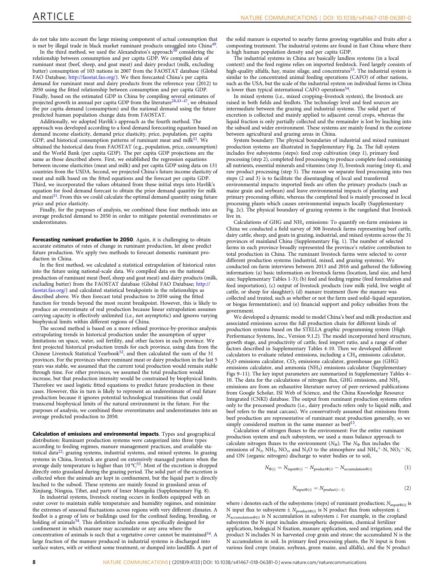do not take into account the large missing component of actual consumption that is met by illegal trade in black market ruminant products smuggled into China<sup>[49](#page-12-0)</sup>.

In the third method, we used the Alexandratos's approach<sup>[50](#page-12-0)</sup> considering the relationship between consumption and per capita GDP. We compiled data of ruminant meat (beef, sheep, and goat meat) and dairy product (milk, excluding butter) consumption of 103 nations in 2007 from the FAOSTAT database (Global FAO Database; <http://faostat.fao.org/>). We then forecasted China's per capita demand for ruminant meat and dairy products from the reference year (2012) to 2050 using the fitted relationship between consumption and per capita GDP. Finally, based on the estimated GDP in China by compiling several estimates of projected growth in annual per capita GDP from the literature<sup>[28](#page-11-0)[,43](#page-12-0)-47</sup>, we obtained the per capita demand (consumption) and the national demand using the future predicted human population change data from FAOSTAT.

Additionally, we adopted Havlík's approach as the fourth method. The approach was developed according to a food demand forecasting equation based on demand income elasticity, demand price elasticity, price, population, per capita GDP, and historical consumption patterns of ruminant meat and milk<sup>51</sup>. We obtained the historical data from FAOSTAT (e.g., population, price, consumption) and the World Bank (per capita GDP). The per capita GDP projections are the same as those described above. First, we established the regression equations between income elasticities (meat and milk) and per capita GDP using data on 131 countries from the USDA. Second, we projected China's future income elasticity of meat and milk based on the fitted equations and the forecast per capita GDP. Third, we incorporated the values obtained from these initial steps into Havlík's equation for food demand forecast to obtain the prior demand quantity for milk and meat<sup>51</sup>. From this we could calculate the optimal demand quantity using future price and price elasticity.

Finally, for the purposes of analysis, we combined these four methods into an average predicted demand to 2050 in order to mitigate potential overestimates or underestimates.

Forecasting ruminant production to 2050. Again, it is challenging to obtain accurate estimates of rates of change in ruminant production, let alone predict future production. We apply two methods to forecast domestic ruminant production in China.

In the first method, we calculated a statistical extrapolation of historical rates into the future using national-scale data. We compiled data on the national production of ruminant meat (beef, sheep and goat meat) and dairy products (milk, excluding butter) from the FAOSTAT database (Global FAO Database; [http://](http://faostat.fao.org/) [faostat.fao.org/](http://faostat.fao.org/)) and calculated statistical breakpoints in the relationships as described above. We then forecast total production to 2050 using the fitted function for trends beyond the most recent breakpoint. However, this is likely to produce an overestimate of real production because linear extrapolation assumes carrying capacity is effectively unlimited (i.e., not asymptotic) and ignores varying biophysical limits within different regions of China.

The second method is based on a more refined province-by-province analysis extrapolating trends in historical production under the assumption of upper limitations on space, water, soil fertility, and other factors in each province. We first projected historical production trends for each province, using data from the Chinese Livestock Statistical Yearbook<sup>52</sup>, and then calculated the sum of the 31 provinces. For the provinces where ruminant meat or dairy production in the last 5 years was stable, we assumed that the current total production would remain stable through time. For other provinces, we assumed the total production would increase, but that production intensity would be constrained by biophysical limits. Therefore we used logistic fitted equations to predict future production in these cases. However, this in turn is likely to represent an underestimate of real future production because it ignores potential technological transitions that could transcend biophysical limits of the natural environment in the future. For the purposes of analysis, we combined these overestimates and underestimates into an average predicted production to 2050.

Calculation of emissions and environmental impacts. Types and geographical distribution: Ruminant production systems were categorized into three types according to feeding regimes, manure management practices, and available statistical data $^{22}$ : grazing systems, industrial systems, and mixed systems. In grazing systems in China, livestock are grazed on extensively managed pastures when the<br>average daily temperature is higher than 10 °C<sup>[53](#page-12-0)</sup>. Most of the excretion is dropped directly onto grassland during the grazing period. The solid part of the excretion is collected when the animals are kept in confinement, but the liquid part is directly leached to the subsoil. These systems are mainly found in grassland areas of Xinjiang, Ningxia, Tibet, and parts of Inner Mongolia (Supplementary Fig. 8).

In industrial systems, livestock rearing occurs in feedlots equipped with an outer cover to maintain stable temperature and humidity regimes, and minimize the extremes of seasonal fluctuations across regions with very different climates. A feedlot is a group of lots or buildings used for the confined feeding, breeding, or holding of animals<sup>[54](#page-12-0)</sup>. This definition includes areas specifically designed for confinement in which manure may accumulate or any area where the concentration of animals is such that a vegetative cover cannot be maintained $54$ . A large fraction of the manure produced in industrial systems is discharged into surface waters, with or without some treatment, or dumped into landfills. A part of the solid manure is exported to nearby farms growing vegetables and fruits after a composting treatment. The industrial systems are found in East China where there is high human population density and per capita GDP.

The industrial systems in China are basically landless systems (in a local context) and the feed regime relies on imported feedstock. Feed largely consists of high-quality alfalfa, hay, maize silage, and concentrates<sup>53</sup>. The industrial system is similar to the concentrated animal feeding operations (CAFO) of other nations, such as the USA, but the scale of the industrial system on individual farms in China is lower than typical international CAFO operations<sup>[54](#page-12-0)</sup>.

In mixed systems (i.e., mixed cropping–livestock system), the livestock are raised in both fields and feedlots. The technology level and feed sources are intermediate between the grazing and industrial systems. The solid part of excretion is collected and mainly applied to adjacent cereal crops, whereas the liquid fraction is only partially collected and the remainder is lost by leaching into the subsoil and wider environment. These systems are mainly found in the ecotone between agricultural and grazing areas in China.

System boundary: The physical boundaries of industrial and mixed ruminant production systems are illustrated in Supplementary Fig. 2a. The full system includes five subsystems (steps): feed crop cultivation (step 1), primary feed processing (step 2), completed feed processing to produce complete feed containing all nutrients, essential minerals and vitamins (step 3), livestock rearing (step 4), and raw product processing (step 5). The reason we separate feed processing into two steps (2 and 3) is to facilitate the disentangling of local and transferred environmental impacts: imported feeds are often the primary products (such as maize grain and soybean) and leave environmental impacts of planting and primary processing offsite, whereas the completed feed is mainly processed in local processing plants which causes environmental impacts locally (Supplementary Fig. 2c). The physical boundary of grazing systems is the rangeland that livestock live in.

Calculations of GHG and NH<sub>3</sub> emissions: To quantify on-farm emissions in China we conducted a field survey of 308 livestock farms representing beef cattle, dairy cattle, sheep, and goats in grazing, industrial, and mixed systems across the 31 provinces of mainland China (Supplementary Fig. 1). The number of selected farms in each province broadly represented the province's relative contribution to total production in China. The ruminant livestock farms were selected to cover different production systems (industrial, mixed, and grazing systems). We conducted on-farm interviews between 2013 and 2016 and gathered the following information: (a) basic information on livestock farms (location, land size, and herd size; Supplementary Tables 1-3); (b) feed and feeding regime (feed formulation and feed importation), (c) output of livestock products (raw milk yield, live weight of cattle, or sheep for slaughter); (d) manure treatment (how the manure was collected and treated, such as whether or not the farm used solid–liquid separation, or biogas fermentation); and (e) financial support and policy subsidies from the government.

We developed a dynamic model to model China's beef and milk production and associated emissions across the full production chain for different kinds of production systems based on the STELLA graphic programming system (High Performance Systems, Inc., Version 9.1.2). The model incorporated herd structure, growth stage, and productivity of cattle, feed import ratio, and a range of other factors described in Supplementary Tables 4-10. Then we developed different calculators to evaluate related emissions, including a  $CH_4$  emissions calculator,  $N<sub>2</sub>O$  emissions calculator,  $CO<sub>2</sub>$  emissions calculator, greenhouse gas (GHG) emissions calculator, and ammonia (NH<sub>3</sub>) emissions calculator (Supplementary Figs 9–11). The key input parameters are summarized in Supplementary Tables 4– 10. The data for the calculations of nitrogen flux, GHG emissions, and NH<sub>3</sub> emissions are from an exhaustive literature survey of peer-reviewed publications from Google Scholar, ISI Web of Science, and the China Knowledge Resource Integrated (CNKI) database. The output from ruminant production systems refers only to the processed products (i.e., dairy products refers only to liquid milk, and beef refers to the meat carcass). We conservatively assumed that emissions from beef production are representative of ruminant meat production generally, so we simply considered mutton in the same manner as beef<sup>13</sup>.

Calculation of nitrogen fluxes to the environment: For the entire ruminant production system and each subsystem, we used a mass balance approach to calculate nitrogen fluxes to the environment ( $N_{\Phi}$ ). The  $N_{\Phi}$  flux includes the emissions of  $N_2$ , NH<sub>3</sub>, NO<sub>x</sub>, and N<sub>2</sub>O to the atmosphere and NH<sub>4</sub><sup>+</sup>-N, NO<sub>3</sub><sup>-</sup>-N, and ON (organic nitrogen) discharge to water bodies or to soil,

$$
N_{\Phi(i)} = N_{\text{input}\Phi(i)} - N_{\text{product}\Phi(i)} - N_{\text{accumulation}\Phi(i)} \tag{1}
$$

$$
N_{\text{input}\Phi(i)} = N_{\text{product}(i-1)} \tag{2}
$$

where *i* denotes each of the subsystems (steps) of ruminant production;  $N_{\text{input}\Phi(i)}$  is N input flux to subsystem *i*;  $N_{product\Phi(i)}$  is N product flux from subsystem *i*;  $N_{\text{accumulation}\Phi(i)}$  is N accumulation in subsystem i. For example, in the cropland subsystem the N input includes atmospheric deposition, chemical fertilizer application, biological N fixation, manure application, seed and irrigation; and the product N includes N in harvested crop grain and straw; the accumulated N is the N accumulation in soil. In primary feed processing plants, the N input is from various feed crops (maize, soybean, green maize, and alfalfa), and the N product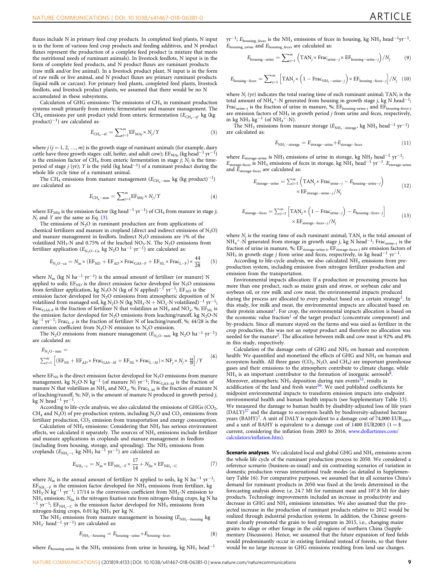fluxes include N in primary feed crop products. In completed feed plants, N input is in the form of various feed crop products and feeding additives, and N product fluxes represent the production of a complete feed product (a mixture that meets the nutritional needs of ruminant animals). In livestock feedlots, N input is in the form of complete feed products, and N product fluxes are ruminant products

(raw milk and/or live animal). In a livestock product plant, N input is in the form of raw milk or live animal, and N product fluxes are primary ruminant products (liquid milk or carcass). For primary feed plants, completed feed plants, livestock feedlots, and livestock product plants, we assumed that there would be no N accumulated in these subsystems.

Calculation of GHG emissions: The emissions of  $CH_4$  in ruminant production systems result primarily from enteric fermentation and manure management. The  $CH_4$  emissions per unit product yield from enteric fermentation ( $E_{CH_4-ef}$  kg (kg) product)<sup>−</sup>1) are calculated as:

$$
E_{\text{CH}_4-\text{ef}} = \sum_{j=1}^{m} \text{EF}_{\text{MA}j} \times N_j / Y \tag{3}
$$

where  $j$  ( $j = 1, 2, ..., m$ ) is the growth stage of ruminant animals (for example, dairy cattle have three growth stages: calf, heifer, and adult cow);  $EF_{MAj}$  (kg head<sup>-1</sup> yr<sup>-1</sup>) is the emission factor of CH<sub>4</sub> from enteric fermentation in stage j;  $N_j$  is the timeperiod of stage j (yr); Y is the yield (kg head<sup>−</sup>1) of a ruminant product during the whole life cycle time of a ruminant animal.

The CH<sub>4</sub> emissions from manure management ( $E_{\text{CH}_4-\text{mm}}$  kg (kg product)<sup>-1</sup>) are calculated as:

$$
E_{\text{CH}_4-\text{mm}} = \sum_{j=1}^{m} \text{EF}_{\text{MS}j} \times N_j / Y \tag{4}
$$

where EF<sub>MSj</sub> is the emission factor (kg head<sup>-1</sup> yr<sup>-1</sup>) of CH<sub>4</sub> from manure in stage j;  $N_i$  and Y are the same as Eq. (3).

The emissions of  $N_2O$  in ruminant production are from applications of chemical fertilizers and manure in cropland (direct and indirect emissions of  $N_2O$ ) and manure management in feedlots. Indirect  $N_2O$  emissions are 1% of the volatilized NH<sub>3</sub>-N and 0.75% of the leached NO<sub>3</sub>-N. The N<sub>2</sub>O emissions from fertilizer application ( $E_{\text{N}_2\text{O}-\text{Ca}}$  kg  $\text{N}_2\text{O}$  ha $^{-1}$  yr $^{-1}$ ) are calculated as:

$$
E_{\text{N}_2\text{O}-\text{ca}} = N_{\text{in}} \times (\text{EF}_{\text{ND}} + \text{EF}_{\text{AD}} \times \text{Frac}_{\text{GAS}-\text{F}} + \text{EF}_{\text{NL}} \times \text{Frac}_{\text{L}-\text{F}}) \times \frac{44}{28} \tag{5}
$$

where  $N_{\text{in}}$  (kg N ha<sup>-1</sup> yr<sup>-1</sup>) is the annual amount of fertilizer (or manure) N applied to soils;  $EF_{ND}$  is the direct emission factor developed for  $N_2O$  emissions from fertilizer application, kg N<sub>2</sub>O-N (kg of N applied)<sup>-1</sup> yr<sup>-1</sup>; EF<sub>AD</sub> is the emission factor developed for N<sub>2</sub>O emissions from atmospheric deposition of N volatilized from managed soil, kg N<sub>2</sub>O-N (kg NH<sub>3</sub>-N + NO<sub>x</sub>-N volatilized)<sup>-1</sup> yr<sup>-1</sup>; Frac<sub>GAS-F</sub> is the fraction of fertilizer N that volatilizes as  $NH_3$  and  $NO_x$ , %; EF<sub>NL</sub> is the emission factor developed for  $N_2O$  emissions from leaching/runoff, kg  $N_2O-N$ kg−<sup>1</sup> yr<sup>−</sup>1; FracL–<sup>F</sup> is the fraction of fertilizer N of leaching/runoff, %; 44/28 is the conversion coefficient from  $N_2O-N$  emission to  $N_2O$  emission.

The N<sub>2</sub>O emissions from manure management ( $E_{\text{N}_2\text{O}-\text{mm}}$  kg N<sub>2</sub>O ha<sup>-1</sup> yr<sup>-1</sup>) are calculated as:

$$
E_{N_2O-mm} = \n\sum_{j=1}^{m} \left[ \left( EF_{NS} + EF_{AD} \times Frac_{GAS-M} + EF_{NL} \times Frac_{L-M} \right) \times NF_j \times N_j \times \frac{44}{28} \right] / Y \n\tag{6}
$$

where  $EF_{NS}$  is the direct emission factor developed for  $N_2O$  emissions from manure management, kg N<sub>2</sub>O-N kg<sup>-1</sup> (of manure N) yr<sup>-1</sup>; Frac<sub>GAS-M</sub> is the fraction of manure N that volatilizes as  $NH_3$  and  $NO_x$ , %; Frac<sub>L-M</sub> is the fraction of manure N of leaching/runoff, %; NF<sub>i</sub> is the amount of manure N produced in growth period j, kg N head−<sup>1</sup> yr<sup>−</sup>1.

According to life-cycle analysis, we also calculated the emissions of GHGs (CO<sub>2</sub>, CH<sub>4</sub> and N<sub>2</sub>O) of pre-production system, including N<sub>2</sub>O and CO<sub>2</sub> emissions from fertilizer production,  $CO<sub>2</sub>$  emission from transportation and energy consumption.

Calculation of  $\mathrm{NH}_3$  emissions: Considering that  $\mathrm{NH}_3$  has serious environment effects, we calculated it separately. The sources of  $NH<sub>3</sub>$  emissions include fertilizer and manure applications in croplands and manure management in feedlots (including from housing, storage, and spreading). The  $NH_3$  emissions from croplands ( $E_{NH_3-c}$  kg NH<sub>3</sub> ha<sup>-1</sup> yr<sup>-1</sup>) are calculated as:

$$
E_{\text{NH}_3-c} = N_{\text{in}} \times \text{EF}_{\text{NH}_3-\text{F}} \times \frac{17}{14} + N_{\text{fix}} \times \text{EF}_{\text{NH}_3-C}
$$
 (7)

where  $N_{\text{in}}$  is the annual amount of fertilizer N applied to soils, kg N ha<sup>-1</sup> yr<sup>-1</sup>; EF<sub>NH<sub>3</sub>-F is the emission factor developed for NH<sub>3</sub> emissions from fertilizer, kg<br>NH<sub>3</sub>-N kg<sup>−1</sup> yr<sup>−1</sup>; 17/14 is the conversion coefficient from NH<sub>3</sub>-N emission to</sub> NH<sub>3</sub> emission; N<sub>fix</sub> is the nitrogen fixation rate from nitrogen-fixing crops, kg N ha <sup>−1</sup> yr<sup>−1</sup>; EF<sub>NH3</sub>- $\rm C$  is the emission factor developed for NH<sub>3</sub> emissions from nitrogen-fixing crops, 0.01 kg NH<sub>3</sub> per kg N.

The NH<sub>3</sub> emissions from manure management in housing ( $E_{\text{NH}_3-\text{housing}}$  kg NH<sub>3</sub>⋅ head<sup>-1</sup> yr<sup>-1</sup>) are calculated as:

$$
E_{\text{NH}_3-\text{housing}} = E_{\text{housing}-\text{urine}} + E_{\text{housing}-\text{feces}} \tag{8}
$$

where  $E_{\text{housing-uring}}$  is the NH<sub>3</sub> emissions from urine in housing, kg NH<sub>3</sub> head<sup>-1</sup>

 $yr^{-1}$ ;  $E_{\text{housing\_feces}}$  is the NH<sub>3</sub> emissions of feces in housing, kg NH<sub>3</sub> head<sup>-1</sup>yr<sup>-1</sup>.  $E_{\text{housing\_urine}}$  and  $E_{\text{housing\_feces}}$  are calculated as:

$$
E_{\text{housing-urine}} = \sum_{j=1}^{m} \left( \text{TAN}_j \times \text{Frac}_{\text{urine}-j} \times \text{EF}_{\text{housing-urine}-j} \right) / N_j \tag{9}
$$

$$
E_{\text{housing-feces}} = \sum_{j=1}^{m} \left[ \text{TAN}_j \times \left( 1 - \text{Frac}_{\text{NH}_3 - \text{urine}-j} \right) \times \text{EF}_{\text{housing-feces}-j} \right] / N_j \quad (10)
$$

where  $N_i$  (yr) indicates the total rearing time of each ruminant animal; TAN<sub>i</sub> is the total amount of NH<sub>4</sub><sup>+</sup>-N generated from housing in growth stage j, kg N head<sup>-1</sup>; Frac<sub>urine–j</sub> is the fraction of urine in manure, %;  $EF_{\text{housing-urine-}j}$  and  $EF_{\text{housing-feces-}j}$ are emission factors of  $NH<sub>3</sub>$  in growth period *j* from urine and feces, respectively, in kg NH<sub>3</sub> kg<sup>-1</sup> (of NH<sub>4</sub><sup>+</sup>-N).

The NH<sub>3</sub> emissions from manure storage ( $E_{\text{NH}_3-\text{storage}}$ , kg NH<sub>3</sub> head<sup>-1</sup> yr<sup>-1</sup>) are calculated as:

$$
E_{\text{NH}_3 \text{ --storage}} = E_{\text{storage} \text{ --urine}} + E_{\text{storage} \text{ --feces}} \tag{11}
$$

where  $E_{\text{storage-urine}}$  is NH<sub>3</sub> emissions of urine in storage, kg NH<sub>3</sub> head<sup>-1</sup> yr<sup>-1</sup>;  $E_{\text{storage-free}}$  is NH<sub>3</sub> emissions of feces in storage, kg NH<sub>3</sub> head<sup>-1</sup> yr<sup>-1</sup>.  $E_{\text{storage-urine}}$ and  $E_{\rm storage\mbox{-}feces}$  are calculated as:

$$
E_{\text{storage} - \text{urine}} = \sum_{j=1}^{m} \left( \text{TAN}_j \times \text{Frac}_{\text{urine}-j} - E_{\text{housing} - \text{urine}-j} \right) \times \text{EF}_{\text{storage} - \text{urine}-j} / N_j \tag{12}
$$

$$
E_{\text{storage}-\text{feces}} = \sum_{j=1}^{m} \left[ \text{TAN}_j \times \left( 1 - \text{Frac}_{\text{urine}-j} \right) - E_{\text{housing}-\text{feces}-j} \right] \times \text{EF}_{\text{storage}-\text{feces}} / N_j \tag{13}
$$

where  $N_i$  is the rearing time of each ruminant animal;  $TAN_i$  is the total amount of NH<sub>4</sub><sup>+</sup>-N generated from storage in growth stage j, kg N head<sup>-1</sup>; Frac<sub>urine-j</sub> is the fraction of urine in manure, %; EF<sub>storage-urine-j</sub>, EF<sub>storage-feces-j</sub> are emission factors of  $NH<sub>3</sub>$  in growth stage j from urine and feces, respectively, in kg head<sup>-1</sup> yr<sup>-1</sup>.

According to life-cycle analysis, we also calculated  $\overline{NH}_3$  emissions from preproduction system, including emission from nitrogen fertilizer production and emission from the transportation.

Environmental impacts allocation: If a production or processing process has more than one product, such as maize grain and straw, or soybean cake and soybean oil, or raw milk and cow meat, the environmental impacts produced during the process are allocated to every product based on a certain strategy<sup>[1](#page-11-0)</sup>. In this study, for milk and meat, the environmental impacts are allocated based on their protein amount<sup>1</sup>. For crop, the environmental impacts allocation is based on the economic value fraction<sup>[1](#page-11-0)</sup> of the target product (concentrate component) and by-products. Since all manure stayed on the farms and was used as fertilizer in the crop production, this was not an output product and therefore no allocation was needed for the manure[2.](#page-11-0) The allocation between milk and cow meat is 92% and 8% in this study, respectively.

Calculation of the damage costs of GHG and  $NH<sub>3</sub>$  on human and ecosystem health: We quantified and monetized the effects of GHG and NH<sub>3</sub> on human and ecosystem health. All three gases (CO<sub>2</sub>, N<sub>2</sub>O, and CH<sub>4</sub>) are important greenhouse gases and their emissions to the atmosphere contribute to climate change, while  $NH<sub>3</sub>$  is an important contributor to the formation of inorganic aerosols<sup>[8](#page-11-0)</sup>. Moreover, atmospheric  $NH<sub>3</sub>$  deposition during rain events<sup>55</sup>, results in acidification of the land and fresh water<sup>56</sup>. We used published coefficients for midpoint environmental impacts to transform emission impacts into endpoint environmental health and human health impacts (see Supplementary Table 13). We measured the damage to human health by disability-adjusted loss of life years  $(DALY)$ <sup>[57](#page-12-0)</sup> and the damage to ecosystem health by biodiversity-adjusted hectare years (BAHY)<sup>7</sup>. A unit of DALY is equivalent to a damage cost of 74,000 EUR<sub>2003</sub>, and a unit of BAHY is equivalent to a damage cost of  $1400$  EUR2003 ( $1 =$ \$ current, considering the inflation from 2003 to 2016, [www.dollartimes.com/](http://www.dollartimes.com/calculators/inflation.htm) [calculators/in](http://www.dollartimes.com/calculators/inflation.htm)flation.htm).

Scenario analyses. We calculated local and global GHG and NH<sub>3</sub> emissions across the whole life cycle of the ruminant production process to 2050. We considered a reference scenario (business-as-usual) and six contrasting scenarios of variation in domestic production versus international trade modes (as detailed in Supplementary Table 16). For comparative purposes, we assumed that in all scenarios China's demand for ruminant products in 2050 was fixed at the levels determined in the forecasting analysis above; i.e. 24.7 Mt for ruminant meat and 107.8 Mt for dairy products. Technology improvements included an increase in productivity and decrease in GHG and  $NH<sub>3</sub>$  emissions intensities. We also assumed that the projected increase in the production of ruminant products relative to 2012 would be realized through industrial production systems. In addition, the Chinese government clearly promoted the grain to feed program in 2015, i.e., changing maize grains to silage or other forage in the cold regions of northern China (Supplementary Discussion). Hence, we assumed that the future expansion of feed fields would predominantly occur in existing farmland instead of forests, so that there would be no large increase in GHG emissions resulting from land use changes.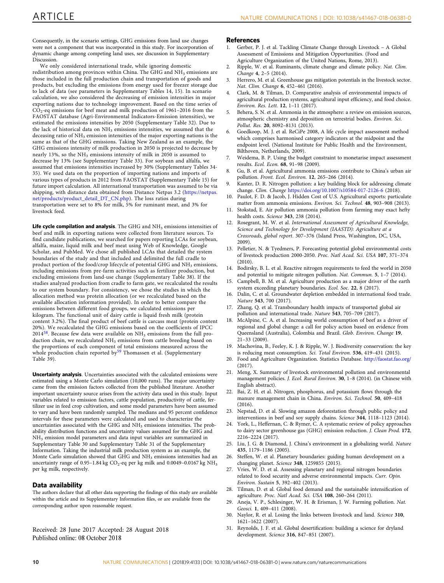<span id="page-11-0"></span>Consequently, in the scenario settings, GHG emissions from land use changes were not a component that was incorporated in this study. For incorporation of dynamic change among competing land uses, see discussion in Supplementary Discussion.

We only considered international trade, while ignoring domestic redistribution among provinces within China. The GHG and NH<sub>3</sub> emissions are those included in the full production chain and transportation of goods and products, but excluding the emissions from energy used for freezer storage due to lack of data (see parameters in Supplementary Tables 14, 15). In scenario calculation, we also considered the decreasing of emission intensities in major exporting nations due to technology improvement. Based on the time series of  $CO<sub>2</sub>$ -eq emissions for beef meat and milk production of 1961–2016 from the FAOSTAT database (Agri-Environmental Indicators-Emission intensities), we estimated the emissions intensities by 2050 (Supplementary Table 32). Due to the lack of historical data on NH<sub>3</sub> emissions intensities, we assumed that the deceasing ratio of NH<sub>3</sub> emission intensities of the major exporting nations is the same as that of the GHG emissions. Taking New Zealand as an example, the GHG emissions intensity of milk production in 2050 is projected to decrease by nearly 13%, so the  $NH<sub>3</sub>$  emissions intensity of milk in 2050 is assumed to decrease by 13% (see Supplementary Table 33). For soybean and alfalfa, we assumed that emissions intensities increased by 30% (Supplementary Tables 34- 35). We used data on the proportion of importing nations and imports of various types of products in 2012 from FAOSTAT (Supplementary Table 15) for future import calculation. All international transportation was assumed to be via shipping, with distance data obtained from Distance Netpas 3.2 ([https://netpas.](https://netpas.net/products/product_detail_DT_CN.php) [net/products/product\\_detail\\_DT\\_CN.php](https://netpas.net/products/product_detail_DT_CN.php)). The loss ratios during transportation were set to 8% for milk, 5% for ruminant meat, and 3% for livestock feed.

Life cycle compilation and analysis. The GHG and  $NH<sub>3</sub>$  emissions intensities of beef and milk in exporting nations were collected from literature sources. To find candidate publications, we searched for papers reporting LCAs for soybean, alfalfa, maize, liquid milk and beef meat using Web of Knowledge, Google Scholar, and PubMed. We chose all published LCAs that detailed the system boundaries of the study and that included and delimited the full cradle to product portion of the food/crop lifecycle of potential GHG and  $\mathrm{NH}_3$  emissions, including emissions from pre-farm activities such as fertilizer production, but excluding emissions from land-use change (Supplementary Table 38). If the studies analyzed production from cradle to farm gate, we recalculated the results to our system boundary. For consistency, we chose the studies in which the allocation method was protein allocation (or we recalculated based on the available allocation information provided). In order to better compare the emissions between different food groups, we calculated emissions per kilogram. The functional unit of dairy cattle is liquid fresh milk (protein content 3.2%). The final product of beef cattle is carcass meat (protein content 20%). We recalculated the GHG emissions based on the coefficients of IPCC 2014 $58$ . Because few data were available on NH<sub>3</sub> emissions from the full production chain, we recalculated NH<sub>3</sub> emissions from cattle breeding based on the proportions of each component of total emissions measured across the whole production chain reported by<sup>[59](#page-12-0)</sup> Thomassen et al. (Supplementary Table 39).

Uncertainty analysis. Uncertainties associated with the calculated emissions were estimated using a Monte Carlo simulation (10,000 runs). The major uncertainty came from the emission factors collected from the published literature. Another important uncertainty source arises from the activity data used in this study. Input variables related to emission factors, cattle population, productivity of cattle, fertilizer use in feed crop cultivation, and some model parameters have been assumed to vary and have been randomly sampled. The medians and 95 percent confidence intervals for these parameters were calculated and used to characterize the uncertainties associated with the GHG and NH3 emissions intensities. The probability distribution functions and uncertainty values assumed for the GHG and NH3 emission model parameters and data input variables are summarized in Supplementary Table 30 and Supplementary Table 31 of the Supplementary Information. Taking the industrial milk production system as an example, the Monte Carlo simulation showed that GHG and NH<sub>3</sub> emissions intensities had an uncertainty range of 0.95–1.84 kg  $CO_2$ -eq per kg milk and 0.0049–0.0167 kg NH<sub>3</sub> per kg milk, respectively.

#### Data availability

The authors declare that all other data supporting the findings of this study are available within the article and its Supplementary Information files, or are available from the corresponding author upon reasonable request.

Received: 28 June 2017 Accepted: 28 August 2018 Published online: 08 October 2018

#### **References**

- 1. Gerber, P. J. et al. Tackling Climate Change through Livestock A Global Assessment of Emissions and Mitigation Opportunities. (Food and Agriculture Organization of the United Nations, Rome, 2013).
- 2. Ripple, W. et al. Ruminants, climate change and climate policy. Nat. Clim. Change 4, 2–5 (2014).
- 3. Herrero, M. et al. Greenhouse gas mitigation potentials in the livestock sector. Nat. Clim. Change 6, 452–461 (2016).
- 4. Clark, M. & Tilman, D. Comparative analysis of environmental impacts of agricultural production systems, agricultural input efficiency, and food choice. Environ. Res. Lett. 12, 1–11 (2017).
- 5. Behera, S. N. et al. Ammonia in the atmosphere: a review on emission sources, atmospheric chemistry and deposition on terrestrial bodies. Environ. Sci. Pollut. Res. 20, 8092–8131 (2013).
- 6. Goedkoop, M. J. et al. ReCiPe 2008, A life cycle impact assessment method which comprises harmonised category indicators at the midpoint and the endpoint level. (National Institute for Public Health and the Environment, Bilthoven, Netherlands, 2009).
- Weidema, B. P. Using the budget constraint to monetarise impact assessment results. Ecol. Econ. 68, 91–98 (2009).
- 8. Gu, B. et al. Agricultural ammonia emissions contribute to China's urban air pollution. Front. Ecol. Environ. 12, 265–266 (2014).
- 9. Kanter, D. R. Nitrogen pollution: a key building block for addressing climate change. Clim. Change <https://doi.org/10.1007/s10584-017-2126-6> (2018).
- 10. Paulot, F. D. & Jacob, J. Hidden Cost of U.S. Agricultural exports: particulate matter from ammonia emissions. Environ. Sci. Technol. 48, 903–908 (2013).
- 11. Stokstad, E. Air pollution ammonia pollution from farming may exact hefty health costs. Science 343, 238 (2014).
- 12. Rosegrant, M. W. et al. International Assessment of Agricultural Knowledge, Science and Technology for Development (IAASTD): Agriculture at a Crossroads, global report. 307–376 (Island Press, Washington, DC, USA, 2009).
- 13. Pelletier, N. & Tyedmers, P. Forecasting potential global environmental costs of livestock production 2000-2050. Proc. Natl Acad. Sci. USA 107, 371–374  $(2010)$
- 14. Bodirsky, B. L. et al. Reactive nitrogen requirements to feed the world in 2050 and potential to mitigate nitrogen pollution. Nat. Commun. 5, 1–7 (2014).
- Campbell, B. M. et al. Agriculture production as a major driver of the earth system exceeding planetary boundaries. Ecol. Soc. 22, 8 (2017).
- 16. Dalin, C. et al. Groundwater depletion embedded in international food trade. Nature 543, 700 (2017).
- 17. Zhang, Q. et al. Transboundary health impacts of transported global air pollution and international trade. Nature 543, 705–709 (2017).
- 18. McAlpine, C. A. et al. Increasing world consumption of beef as a driver of regional and global change: a call for policy action based on evidence from Queensland (Australia), Colombia and Brazil. Glob. Environ. Change 19, 21–33 (2009).
- 19. Machovina, B., Feeley, K. J. & Ripple, W. J. Biodiversity conservation: the key is reducing meat consumption. Sci. Total Environ. 536, 419–431 (2015).
- 20. Food and Agriculture Organization. Statistics Database. <http://faostat.fao.org/> (2017).
- 21. Meng, X. Summary of livestock environmental pollution and environmental management policies. J. Ecol. Rural Environ. 30, 1–8 (2014). (in Chinese with English abstract).
- 22. Bai, Z. H. et al. Nitrogen, phosphorus, and potassium flows through the manure management chain in China. Environ. Sci. Technol. 50, 409–418 (2016).
- 23. Nepstad, D. et al. Slowing amazon deforestation through public policy and interventions in beef and soy supply chains. Science 344, 1118–1123 (2014).
- 24. York, L., Heffernan, C. & Rymer, C. A systematic review of policy approaches to dairy sector greenhouse gas (GHG) emission reduction. J. Clean Prod. 172, 2216–2224 (2017).
- 25. Liu, J. G. & Diamond, J. China's environment in a globalizing world. Nature 435, 1179–1186 (2005).
- 26. Steffen, W. et al. Planetary boundaries: guiding human development on a changing planet. Science 348, 1259855 (2015).
- 27. Vries, W. D. et al. Assessing planetary and regional nitrogen boundaries related to food security and adverse environmental impacts. Curr. Opin. Environ. Sustain 5, 392–402 (2013).
- 28. Tilman, D. et al. Global food demand and the sustainable intensification of agriculture. Proc. Natl Acad. Sci. USA 108, 260–264 (2011).
- 29. Aneja, V. P., Schlesinger, W. H. & Erisman, J. W. Farming pollution. Nat. Geosci. 1, 409–411 (2008).
- 30. Naylor, R. et al. Losing the links between livestock and land. Science 310, 1621–1622 (2007).
- 31. Reynolds, J. F. et al. Global desertification: building a science for dryland development. Science 316, 847–851 (2007).